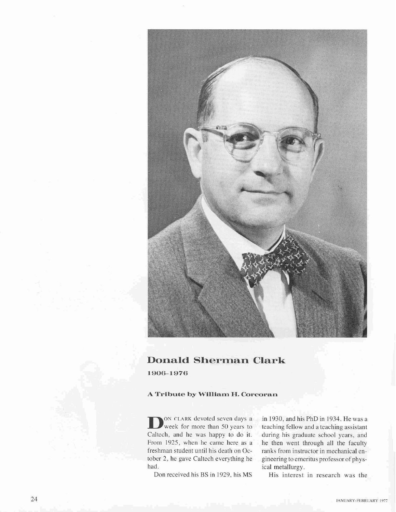

## **Donald Sherman Clark**

1906-1976

## **A Tribute by William H. Corcoran**

**D**<sup>ON CLARK devoted seven days a week for more than 50 years to</sup> Caltech, and he was happy to do it. From 1925, when he came here as a freshman student until his death on October 2, he gave Caltech everything he had.

Don received his BS in 1929, his MS

in 1930, and his PhD in 1934. He was a teaching fellow and a teaching assistant during his graduate school years, and he then went through all the faculty ranks from instructor in mechanical engineering to emeritus professor of physical metallurgy.

His interest in research was the